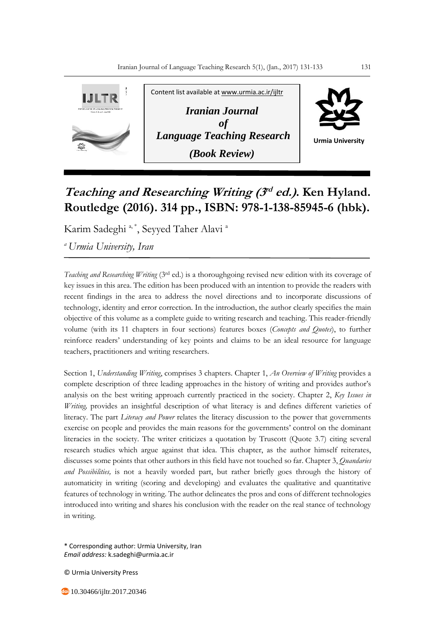

## Teaching and Researching Writing (3<sup>rd</sup> ed.). Ken Hyland. **Routledge (2016). 314 pp., ISBN: 978-1-138-85945-6 (hbk).**

Karim Sadeghi<sup>a, \*</sup>, Seyyed Taher Alavi<sup>a</sup>

*<sup>a</sup>Urmia University, Iran*

*Teaching and Researching Writing* (3rd ed.) is a thoroughgoing revised new edition with its coverage of key issues in this area. The edition has been produced with an intention to provide the readers with recent findings in the area to address the novel directions and to incorporate discussions of technology, identity and error correction. In the introduction, the author clearly specifies the main objective of this volume as a complete guide to writing research and teaching. This reader-friendly volume (with its 11 chapters in four sections) features boxes (*Concepts and Quotes*), to further reinforce readers' understanding of key points and claims to be an ideal resource for language teachers, practitioners and writing researchers.

Section 1, *Understanding Writing*, comprises 3 chapters. Chapter 1, *An Overview of Writing* provides a complete description of three leading approaches in the history of writing and provides author's analysis on the best writing approach currently practiced in the society. Chapter 2, *Key Issues in Writing,* provides an insightful description of what literacy is and defines different varieties of literacy. The part *Literacy and Power* relates the literacy discussion to the power that governments exercise on people and provides the main reasons for the governments' control on the dominant literacies in the society. The writer criticizes a quotation by Truscott (Quote 3.7) citing several research studies which argue against that idea. This chapter, as the author himself reiterates, discusses some points that other authors in this field have not touched so far. Chapter 3, *Quandaries and Possibilities,* is not a heavily worded part, but rather briefly goes through the history of automaticity in writing (scoring and developing) and evaluates the qualitative and quantitative features of technology in writing. The author delineates the pros and cons of different technologies introduced into writing and shares his conclusion with the reader on the real stance of technology in writing.

\* Corresponding author: Urmia University, Iran *Email address:* k.sadeghi@urmia.ac.ir

© Urmia University Press

**40** 10.30466/ijltr.2017.20346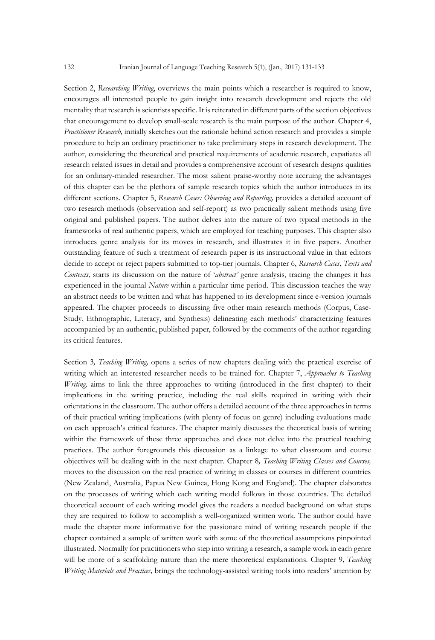Section 2, *Researching Writing*, overviews the main points which a researcher is required to know, encourages all interested people to gain insight into research development and rejects the old mentality that research is scientists specific. It is reiterated in different parts of the section objectives that encouragement to develop small-scale research is the main purpose of the author. Chapter 4, *Practitioner Research,* initially sketches out the rationale behind action research and provides a simple procedure to help an ordinary practitioner to take preliminary steps in research development. The author, considering the theoretical and practical requirements of academic research, expatiates all research related issues in detail and provides a comprehensive account of research designs qualities for an ordinary-minded researcher. The most salient praise-worthy note accruing the advantages of this chapter can be the plethora of sample research topics which the author introduces in its different sections. Chapter 5, *Research Cases: Observing and Reporting,* provides a detailed account of two research methods (observation and self-report) as two practically salient methods using five original and published papers. The author delves into the nature of two typical methods in the frameworks of real authentic papers, which are employed for teaching purposes. This chapter also introduces genre analysis for its moves in research, and illustrates it in five papers. Another outstanding feature of such a treatment of research paper is its instructional value in that editors decide to accept or reject papers submitted to top-tier journals. Chapter 6, *Research Cases, Texts and Contexts,* starts its discussion on the nature of '*abstract'* genre analysis, tracing the changes it has experienced in the journal *Nature* within a particular time period. This discussion teaches the way an abstract needs to be written and what has happened to its development since e-version journals appeared. The chapter proceeds to discussing five other main research methods (Corpus, Case-Study, Ethnographic, Literacy, and Synthesis) delineating each methods' characterizing features accompanied by an authentic, published paper, followed by the comments of the author regarding its critical features.

Section 3*, Teaching Writing,* opens a series of new chapters dealing with the practical exercise of writing which an interested researcher needs to be trained for. Chapter 7, *Approaches to Teaching Writing,* aims to link the three approaches to writing (introduced in the first chapter) to their implications in the writing practice, including the real skills required in writing with their orientations in the classroom. The author offers a detailed account of the three approaches in terms of their practical writing implications (with plenty of focus on genre) including evaluations made on each approach's critical features. The chapter mainly discusses the theoretical basis of writing within the framework of these three approaches and does not delve into the practical teaching practices. The author foregrounds this discussion as a linkage to what classroom and course objectives will be dealing with in the next chapter*.* Chapter 8*, Teaching Writing Classes and Courses,* moves to the discussion on the real practice of writing in classes or courses in different countries (New Zealand, Australia, Papua New Guinea, Hong Kong and England). The chapter elaborates on the processes of writing which each writing model follows in those countries. The detailed theoretical account of each writing model gives the readers a needed background on what steps they are required to follow to accomplish a well-organized written work. The author could have made the chapter more informative for the passionate mind of writing research people if the chapter contained a sample of written work with some of the theoretical assumptions pinpointed illustrated. Normally for practitioners who step into writing a research, a sample work in each genre will be more of a scaffolding nature than the mere theoretical explanations. Chapter 9*, Teaching Writing Materials and Practices,* brings the technology-assisted writing tools into readers' attention by